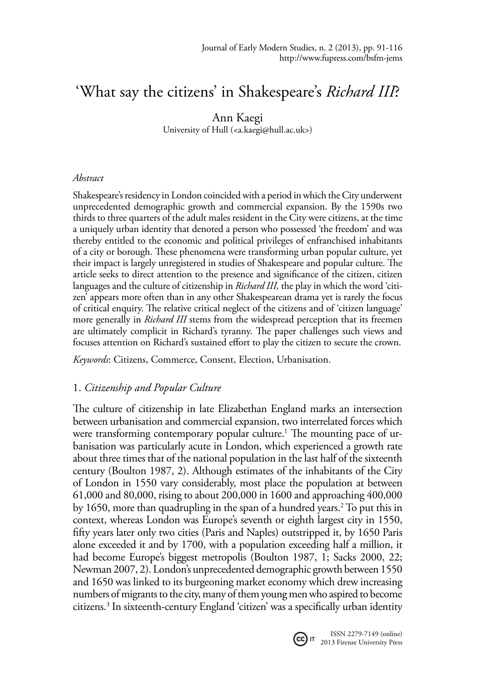# 'What say the citizens' in Shakespeare's *Richard III*?

## Ann Kaegi

University of Hull (<a.kaegi@hull.ac.uk>)

## *Abstract*

Shakespeare's residency in London coincided with a period in which the City underwent unprecedented demographic growth and commercial expansion. By the 1590s two thirds to three quarters of the adult males resident in the City were citizens, at the time a uniquely urban identity that denoted a person who possessed 'the freedom' and was thereby entitled to the economic and political privileges of enfranchised inhabitants of a city or borough. These phenomena were transforming urban popular culture, yet their impact is largely unregistered in studies of Shakespeare and popular culture. The article seeks to direct attention to the presence and significance of the citizen, citizen languages and the culture of citizenship in *Richard III,* the play in which the word 'citizen' appears more often than in any other Shakespearean drama yet is rarely the focus of critical enquiry. The relative critical neglect of the citizens and of 'citizen language' more generally in *Richard III* stems from the widespread perception that its freemen are ultimately complicit in Richard's tyranny. The paper challenges such views and focuses attention on Richard's sustained effort to play the citizen to secure the crown.

*Keywords*: Citizens, Commerce, Consent, Election, Urbanisation.

# 1. *Citizenship and Popular Culture*

The culture of citizenship in late Elizabethan England marks an intersection between urbanisation and commercial expansion, two interrelated forces which were transforming contemporary popular culture.1 The mounting pace of urbanisation was particularly acute in London, which experienced a growth rate about three times that of the national population in the last half of the sixteenth century (Boulton 1987, 2). Although estimates of the inhabitants of the City of London in 1550 vary considerably, most place the population at between 61,000 and 80,000, rising to about 200,000 in 1600 and approaching 400,000 by 1650, more than quadrupling in the span of a hundred years.2 To put this in context, whereas London was Europe's seventh or eighth largest city in 1550, fifty years later only two cities (Paris and Naples) outstripped it, by 1650 Paris alone exceeded it and by 1700, with a population exceeding half a million, it had become Europe's biggest metropolis (Boulton 1987, 1; Sacks 2000, 22; Newman 2007, 2). London's unprecedented demographic growth between 1550 and 1650 was linked to its burgeoning market economy which drew increasing numbers of migrants to the city, many of them young men who aspired to become citizens.3 In sixteenth-century England 'citizen' was a specifically urban identity



ISSN 2279-7149 (online) **CC** IT 2013 Firenze University Press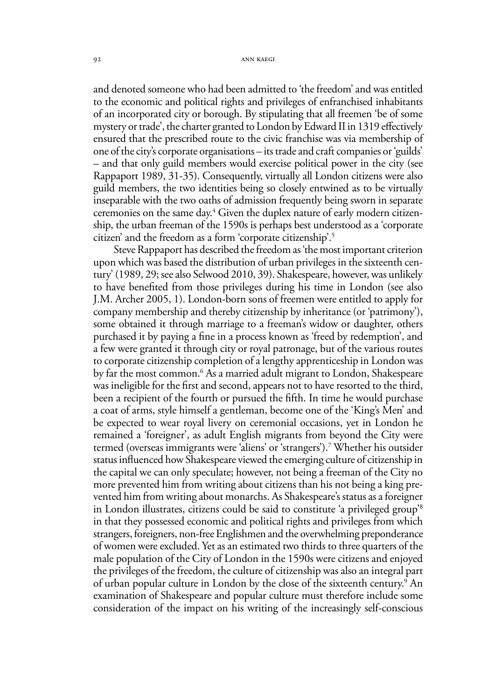and denoted someone who had been admitted to 'the freedom' and was entitled to the economic and political rights and privileges of enfranchised inhabitants of an incorporated city or borough. By stipulating that all freemen 'be of some mystery or trade', the charter granted to London by Edward II in 1319 effectively ensured that the prescribed route to the civic franchise was via membership of one of the city's corporate organisations – its trade and craft companies or 'guilds' – and that only guild members would exercise political power in the city (see Rappaport 1989, 31-35). Consequently, virtually all London citizens were also guild members, the two identities being so closely entwined as to be virtually inseparable with the two oaths of admission frequently being sworn in separate ceremonies on the same day.4 Given the duplex nature of early modern citizenship, the urban freeman of the 1590s is perhaps best understood as a 'corporate citizen' and the freedom as a form 'corporate citizenship'.5

Steve Rappaport has described the freedom as 'the most important criterion upon which was based the distribution of urban privileges in the sixteenth century' (1989, 29; see also Selwood 2010, 39). Shakespeare, however, was unlikely to have benefited from those privileges during his time in London (see also J.M. Archer 2005, 1). London-born sons of freemen were entitled to apply for company membership and thereby citizenship by inheritance (or 'patrimony'), some obtained it through marriage to a freeman's widow or daughter, others purchased it by paying a fine in a process known as 'freed by redemption', and a few were granted it through city or royal patronage, but of the various routes to corporate citizenship completion of a lengthy apprenticeship in London was by far the most common.6 As a married adult migrant to London, Shakespeare was ineligible for the first and second, appears not to have resorted to the third, been a recipient of the fourth or pursued the fifth. In time he would purchase a coat of arms, style himself a gentleman, become one of the 'King's Men' and be expected to wear royal livery on ceremonial occasions, yet in London he remained a 'foreigner', as adult English migrants from beyond the City were termed (overseas immigrants were 'aliens' or 'strangers').7 Whether his outsider status influenced how Shakespeare viewed the emerging culture of citizenship in the capital we can only speculate; however, not being a freeman of the City no more prevented him from writing about citizens than his not being a king prevented him from writing about monarchs. As Shakespeare's status as a foreigner in London illustrates, citizens could be said to constitute 'a privileged group'8 in that they possessed economic and political rights and privileges from which strangers, foreigners, non-free Englishmen and the overwhelming preponderance of women were excluded. Yet as an estimated two thirds to three quarters of the male population of the City of London in the 1590s were citizens and enjoyed the privileges of the freedom, the culture of citizenship was also an integral part of urban popular culture in London by the close of the sixteenth century.<sup>9</sup> An examination of Shakespeare and popular culture must therefore include some consideration of the impact on his writing of the increasingly self-conscious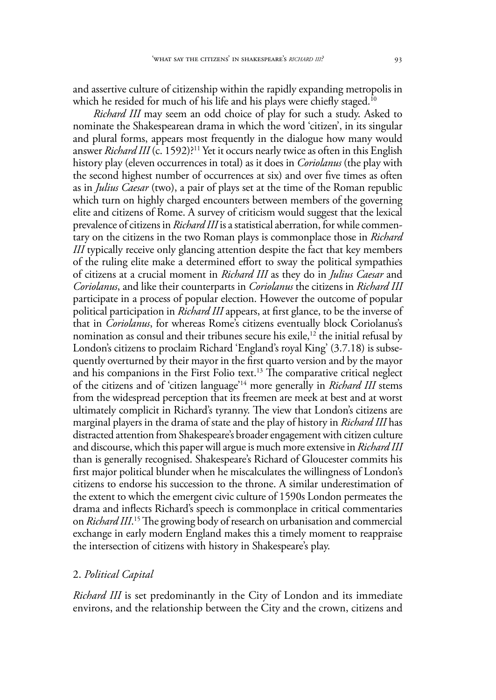and assertive culture of citizenship within the rapidly expanding metropolis in which he resided for much of his life and his plays were chiefly staged.<sup>10</sup>

*Richard III* may seem an odd choice of play for such a study. Asked to nominate the Shakespearean drama in which the word 'citizen', in its singular and plural forms, appears most frequently in the dialogue how many would answer *Richard III* (c. 1592)?<sup>11</sup> Yet it occurs nearly twice as often in this English history play (eleven occurrences in total) as it does in *Coriolanus* (the play with the second highest number of occurrences at six) and over five times as often as in *Julius Caesar* (two), a pair of plays set at the time of the Roman republic which turn on highly charged encounters between members of the governing elite and citizens of Rome. A survey of criticism would suggest that the lexical prevalence of citizens in *Richard III* is a statistical aberration, for while commentary on the citizens in the two Roman plays is commonplace those in *Richard III* typically receive only glancing attention despite the fact that key members of the ruling elite make a determined effort to sway the political sympathies of citizens at a crucial moment in *Richard III* as they do in *Julius Caesar* and *Coriolanus*, and like their counterparts in *Coriolanus* the citizens in *Richard III*  participate in a process of popular election. However the outcome of popular political participation in *Richard III* appears, at first glance, to be the inverse of that in *Coriolanus*, for whereas Rome's citizens eventually block Coriolanus's nomination as consul and their tribunes secure his exile,<sup>12</sup> the initial refusal by London's citizens to proclaim Richard 'England's royal King' (3.7.18) is subsequently overturned by their mayor in the first quarto version and by the mayor and his companions in the First Folio text.<sup>13</sup> The comparative critical neglect of the citizens and of 'citizen language'14 more generally in *Richard III* stems from the widespread perception that its freemen are meek at best and at worst ultimately complicit in Richard's tyranny. The view that London's citizens are marginal players in the drama of state and the play of history in *Richard III* has distracted attention from Shakespeare's broader engagement with citizen culture and discourse, which this paper will argue is much more extensive in *Richard III*  than is generally recognised. Shakespeare's Richard of Gloucester commits his first major political blunder when he miscalculates the willingness of London's citizens to endorse his succession to the throne. A similar underestimation of the extent to which the emergent civic culture of 1590s London permeates the drama and inflects Richard's speech is commonplace in critical commentaries on *Richard III*. 15 The growing body of research on urbanisation and commercial exchange in early modern England makes this a timely moment to reappraise the intersection of citizens with history in Shakespeare's play.

### 2. *Political Capital*

*Richard III* is set predominantly in the City of London and its immediate environs, and the relationship between the City and the crown, citizens and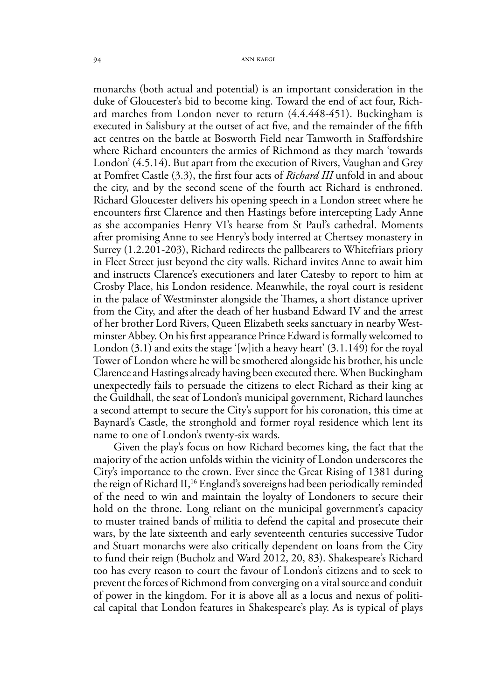monarchs (both actual and potential) is an important consideration in the duke of Gloucester's bid to become king. Toward the end of act four, Richard marches from London never to return (4.4.448-451). Buckingham is executed in Salisbury at the outset of act five, and the remainder of the fifth act centres on the battle at Bosworth Field near Tamworth in Staffordshire where Richard encounters the armies of Richmond as they march 'towards London' (4.5.14). But apart from the execution of Rivers, Vaughan and Grey at Pomfret Castle (3.3), the first four acts of *Richard III* unfold in and about the city, and by the second scene of the fourth act Richard is enthroned. Richard Gloucester delivers his opening speech in a London street where he encounters first Clarence and then Hastings before intercepting Lady Anne as she accompanies Henry VI's hearse from St Paul's cathedral. Moments after promising Anne to see Henry's body interred at Chertsey monastery in Surrey (1.2.201-203), Richard redirects the pallbearers to Whitefriars priory in Fleet Street just beyond the city walls. Richard invites Anne to await him and instructs Clarence's executioners and later Catesby to report to him at Crosby Place, his London residence. Meanwhile, the royal court is resident in the palace of Westminster alongside the Thames, a short distance upriver from the City, and after the death of her husband Edward IV and the arrest of her brother Lord Rivers, Queen Elizabeth seeks sanctuary in nearby Westminster Abbey. On his first appearance Prince Edward is formally welcomed to London  $(3.1)$  and exits the stage '[w]ith a heavy heart'  $(3.1.149)$  for the royal Tower of London where he will be smothered alongside his brother, his uncle Clarence and Hastings already having been executed there. When Buckingham unexpectedly fails to persuade the citizens to elect Richard as their king at the Guildhall, the seat of London's municipal government, Richard launches a second attempt to secure the City's support for his coronation, this time at Baynard's Castle, the stronghold and former royal residence which lent its name to one of London's twenty-six wards.

Given the play's focus on how Richard becomes king, the fact that the majority of the action unfolds within the vicinity of London underscores the City's importance to the crown. Ever since the Great Rising of 1381 during the reign of Richard II,<sup>16</sup> England's sovereigns had been periodically reminded of the need to win and maintain the loyalty of Londoners to secure their hold on the throne. Long reliant on the municipal government's capacity to muster trained bands of militia to defend the capital and prosecute their wars, by the late sixteenth and early seventeenth centuries successive Tudor and Stuart monarchs were also critically dependent on loans from the City to fund their reign (Bucholz and Ward 2012, 20, 83). Shakespeare's Richard too has every reason to court the favour of London's citizens and to seek to prevent the forces of Richmond from converging on a vital source and conduit of power in the kingdom. For it is above all as a locus and nexus of political capital that London features in Shakespeare's play. As is typical of plays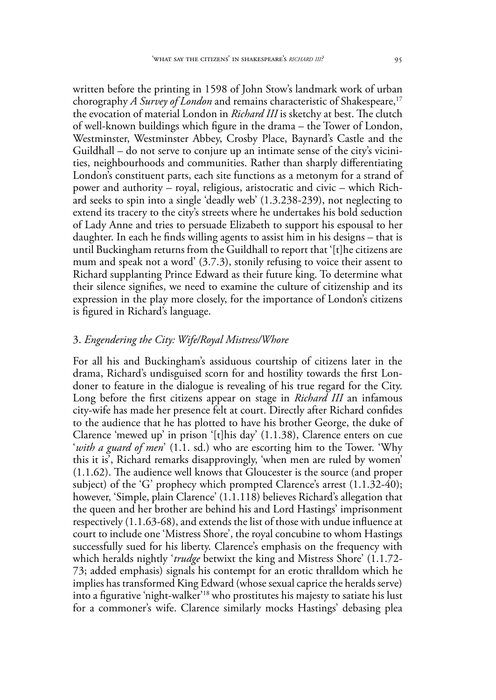written before the printing in 1598 of John Stow's landmark work of urban chorography *A Survey of London* and remains characteristic of Shakespeare,<sup>17</sup> the evocation of material London in *Richard III* is sketchy at best. The clutch of well-known buildings which figure in the drama – the Tower of London, Westminster, Westminster Abbey, Crosby Place, Baynard's Castle and the Guildhall – do not serve to conjure up an intimate sense of the city's vicinities, neighbourhoods and communities. Rather than sharply differentiating London's constituent parts, each site functions as a metonym for a strand of power and authority – royal, religious, aristocratic and civic – which Richard seeks to spin into a single 'deadly web' (1.3.238-239), not neglecting to extend its tracery to the city's streets where he undertakes his bold seduction of Lady Anne and tries to persuade Elizabeth to support his espousal to her daughter. In each he finds willing agents to assist him in his designs – that is until Buckingham returns from the Guildhall to report that '[t]he citizens are mum and speak not a word' (3.7.3), stonily refusing to voice their assent to Richard supplanting Prince Edward as their future king. To determine what their silence signifies, we need to examine the culture of citizenship and its expression in the play more closely, for the importance of London's citizens is figured in Richard's language.

#### 3. *Engendering the City: Wife/Royal Mistress/Whore*

For all his and Buckingham's assiduous courtship of citizens later in the drama, Richard's undisguised scorn for and hostility towards the first Londoner to feature in the dialogue is revealing of his true regard for the City. Long before the first citizens appear on stage in *Richard III* an infamous city-wife has made her presence felt at court. Directly after Richard confides to the audience that he has plotted to have his brother George, the duke of Clarence 'mewed up' in prison '[t]his day' (1.1.38), Clarence enters on cue '*with a guard of men*' (1.1. sd.) who are escorting him to the Tower. 'Why this it is', Richard remarks disapprovingly, 'when men are ruled by women' (1.1.62). The audience well knows that Gloucester is the source (and proper subject) of the 'G' prophecy which prompted Clarence's arrest (1.1.32-40); however, 'Simple, plain Clarence' (1.1.118) believes Richard's allegation that the queen and her brother are behind his and Lord Hastings' imprisonment respectively (1.1.63-68), and extends the list of those with undue influence at court to include one 'Mistress Shore', the royal concubine to whom Hastings successfully sued for his liberty. Clarence's emphasis on the frequency with which heralds nightly '*trudge* betwixt the king and Mistress Shore' (1.1.72- 73; added emphasis) signals his contempt for an erotic thralldom which he implies has transformed King Edward (whose sexual caprice the heralds serve) into a figurative 'night-walker'18 who prostitutes his majesty to satiate his lust for a commoner's wife. Clarence similarly mocks Hastings' debasing plea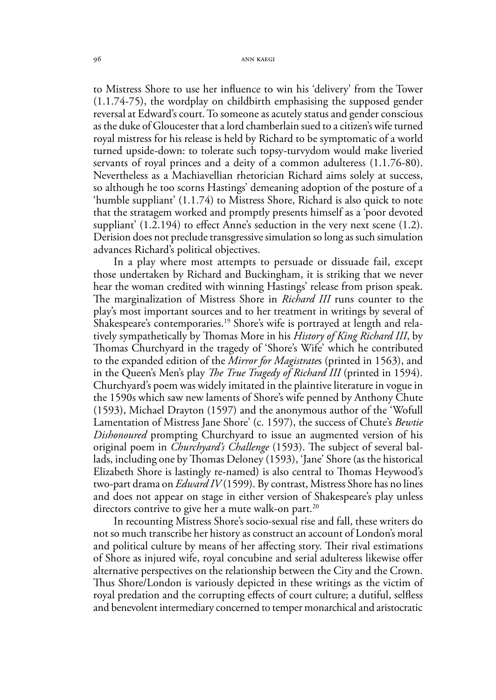to Mistress Shore to use her influence to win his 'delivery' from the Tower (1.1.74-75), the wordplay on childbirth emphasising the supposed gender reversal at Edward's court. To someone as acutely status and gender conscious as the duke of Gloucester that a lord chamberlain sued to a citizen's wife turned royal mistress for his release is held by Richard to be symptomatic of a world turned upside-down: to tolerate such topsy-turvydom would make liveried servants of royal princes and a deity of a common adulteress (1.1.76-80). Nevertheless as a Machiavellian rhetorician Richard aims solely at success, so although he too scorns Hastings' demeaning adoption of the posture of a 'humble suppliant' (1.1.74) to Mistress Shore, Richard is also quick to note that the stratagem worked and promptly presents himself as a 'poor devoted suppliant' (1.2.194) to effect Anne's seduction in the very next scene (1.2). Derision does not preclude transgressive simulation so long as such simulation advances Richard's political objectives.

In a play where most attempts to persuade or dissuade fail, except those undertaken by Richard and Buckingham, it is striking that we never hear the woman credited with winning Hastings' release from prison speak. The marginalization of Mistress Shore in *Richard III* runs counter to the play's most important sources and to her treatment in writings by several of Shakespeare's contemporaries.<sup>19</sup> Shore's wife is portrayed at length and relatively sympathetically by Thomas More in his *History of King Richard III*, by Thomas Churchyard in the tragedy of 'Shore's Wife' which he contributed to the expanded edition of the *Mirror for Magistrate*s (printed in 1563), and in the Queen's Men's play *The True Tragedy of Richard III* (printed in 1594). Churchyard's poem was widely imitated in the plaintive literature in vogue in the 1590s which saw new laments of Shore's wife penned by Anthony Chute (1593), Michael Drayton (1597) and the anonymous author of the 'Wofull Lamentation of Mistress Jane Shore' (c. 1597), the success of Chute's *Bewtie Dishonoured* prompting Churchyard to issue an augmented version of his original poem in *Churchyard's Challenge* (1593). The subject of several ballads, including one by Thomas Deloney (1593), 'Jane' Shore (as the historical Elizabeth Shore is lastingly re-named) is also central to Thomas Heywood's two-part drama on *Edward IV* (1599). By contrast, Mistress Shore has no lines and does not appear on stage in either version of Shakespeare's play unless directors contrive to give her a mute walk-on part.<sup>20</sup>

In recounting Mistress Shore's socio-sexual rise and fall, these writers do not so much transcribe her history as construct an account of London's moral and political culture by means of her affecting story. Their rival estimations of Shore as injured wife, royal concubine and serial adulteress likewise offer alternative perspectives on the relationship between the City and the Crown. Thus Shore/London is variously depicted in these writings as the victim of royal predation and the corrupting effects of court culture; a dutiful, selfless and benevolent intermediary concerned to temper monarchical and aristocratic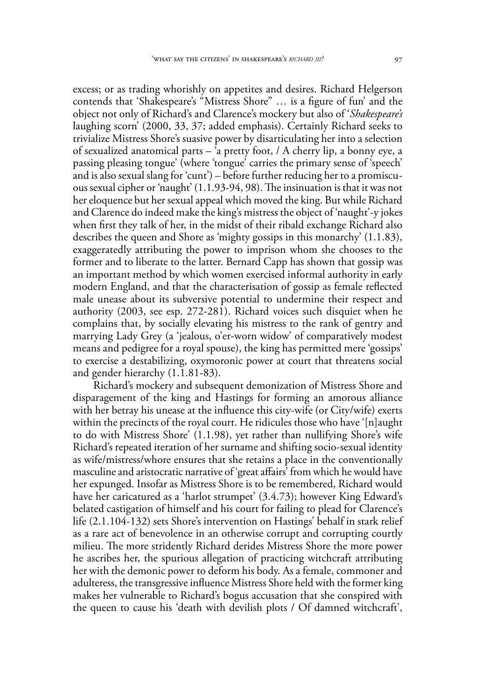excess; or as trading whorishly on appetites and desires. Richard Helgerson contends that 'Shakespeare's "Mistress Shore" … is a figure of fun' and the object not only of Richard's and Clarence's mockery but also of '*Shakespeare's* laughing scorn' (2000, 33, 37; added emphasis). Certainly Richard seeks to trivialize Mistress Shore's suasive power by disarticulating her into a selection of sexualized anatomical parts – 'a pretty foot, / A cherry lip, a bonny eye, a passing pleasing tongue' (where 'tongue' carries the primary sense of 'speech' and is also sexual slang for 'cunt') – before further reducing her to a promiscuous sexual cipher or 'naught' (1.1.93-94, 98). The insinuation is that it was not her eloquence but her sexual appeal which moved the king. But while Richard and Clarence do indeed make the king's mistress the object of 'naught'-y jokes when first they talk of her, in the midst of their ribald exchange Richard also describes the queen and Shore as 'mighty gossips in this monarchy' (1.1.83), exaggeratedly attributing the power to imprison whom she chooses to the former and to liberate to the latter. Bernard Capp has shown that gossip was an important method by which women exercised informal authority in early modern England, and that the characterisation of gossip as female reflected male unease about its subversive potential to undermine their respect and authority (2003, see esp. 272-281). Richard voices such disquiet when he complains that, by socially elevating his mistress to the rank of gentry and marrying Lady Grey (a 'jealous, o'er-worn widow' of comparatively modest means and pedigree for a royal spouse), the king has permitted mere 'gossips' to exercise a destabilizing, oxymoronic power at court that threatens social and gender hierarchy (1.1.81-83).

Richard's mockery and subsequent demonization of Mistress Shore and disparagement of the king and Hastings for forming an amorous alliance with her betray his unease at the influence this city-wife (or City/wife) exerts within the precincts of the royal court. He ridicules those who have '[n]aught to do with Mistress Shore' (1.1.98), yet rather than nullifying Shore's wife Richard's repeated iteration of her surname and shifting socio-sexual identity as wife/mistress/whore ensures that she retains a place in the conventionally masculine and aristocratic narrative of 'great affairs' from which he would have her expunged. Insofar as Mistress Shore is to be remembered, Richard would have her caricatured as a 'harlot strumpet' (3.4.73); however King Edward's belated castigation of himself and his court for failing to plead for Clarence's life (2.1.104-132) sets Shore's intervention on Hastings' behalf in stark relief as a rare act of benevolence in an otherwise corrupt and corrupting courtly milieu. The more stridently Richard derides Mistress Shore the more power he ascribes her, the spurious allegation of practicing witchcraft attributing her with the demonic power to deform his body. As a female, commoner and adulteress, the transgressive influence Mistress Shore held with the former king makes her vulnerable to Richard's bogus accusation that she conspired with the queen to cause his 'death with devilish plots / Of damned witchcraft',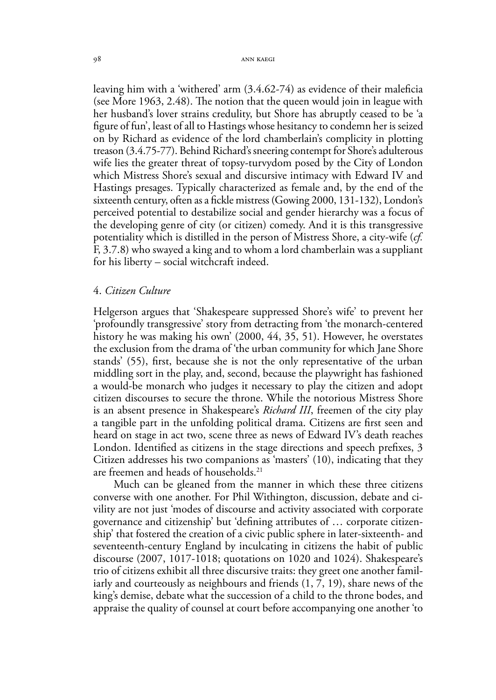leaving him with a 'withered' arm (3.4.62-74) as evidence of their maleficia (see More 1963, 2.48). The notion that the queen would join in league with her husband's lover strains credulity, but Shore has abruptly ceased to be 'a figure of fun', least of all to Hastings whose hesitancy to condemn her is seized on by Richard as evidence of the lord chamberlain's complicity in plotting treason (3.4.75-77). Behind Richard's sneering contempt for Shore's adulterous wife lies the greater threat of topsy-turvydom posed by the City of London which Mistress Shore's sexual and discursive intimacy with Edward IV and Hastings presages. Typically characterized as female and, by the end of the sixteenth century, often as a fickle mistress (Gowing 2000, 131-132), London's perceived potential to destabilize social and gender hierarchy was a focus of the developing genre of city (or citizen) comedy. And it is this transgressive potentiality which is distilled in the person of Mistress Shore, a city-wife (*cf.*  F, 3.7.8) who swayed a king and to whom a lord chamberlain was a suppliant for his liberty – social witchcraft indeed.

#### 4. *Citizen Culture*

Helgerson argues that 'Shakespeare suppressed Shore's wife' to prevent her 'profoundly transgressive' story from detracting from 'the monarch-centered history he was making his own' (2000, 44, 35, 51). However, he overstates the exclusion from the drama of 'the urban community for which Jane Shore stands' (55), first, because she is not the only representative of the urban middling sort in the play, and, second, because the playwright has fashioned a would-be monarch who judges it necessary to play the citizen and adopt citizen discourses to secure the throne. While the notorious Mistress Shore is an absent presence in Shakespeare's *Richard III*, freemen of the city play a tangible part in the unfolding political drama. Citizens are first seen and heard on stage in act two, scene three as news of Edward IV's death reaches London. Identified as citizens in the stage directions and speech prefixes, 3 Citizen addresses his two companions as 'masters' (10), indicating that they are freemen and heads of households.<sup>21</sup>

Much can be gleaned from the manner in which these three citizens converse with one another. For Phil Withington, discussion, debate and civility are not just 'modes of discourse and activity associated with corporate governance and citizenship' but 'defining attributes of … corporate citizenship' that fostered the creation of a civic public sphere in later-sixteenth- and seventeenth-century England by inculcating in citizens the habit of public discourse (2007, 1017-1018; quotations on 1020 and 1024). Shakespeare's trio of citizens exhibit all three discursive traits: they greet one another familiarly and courteously as neighbours and friends (1, 7, 19), share news of the king's demise, debate what the succession of a child to the throne bodes, and appraise the quality of counsel at court before accompanying one another 'to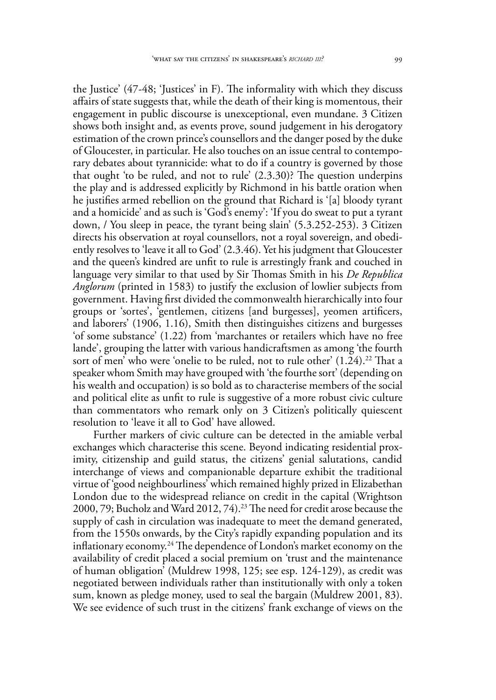the Justice' (47-48; 'Justices' in F). The informality with which they discuss affairs of state suggests that, while the death of their king is momentous, their engagement in public discourse is unexceptional, even mundane. 3 Citizen shows both insight and, as events prove, sound judgement in his derogatory estimation of the crown prince's counsellors and the danger posed by the duke of Gloucester, in particular. He also touches on an issue central to contemporary debates about tyrannicide: what to do if a country is governed by those that ought 'to be ruled, and not to rule' (2.3.30)? The question underpins the play and is addressed explicitly by Richmond in his battle oration when he justifies armed rebellion on the ground that Richard is '[a] bloody tyrant and a homicide' and as such is 'God's enemy': 'If you do sweat to put a tyrant down, / You sleep in peace, the tyrant being slain' (5.3.252-253). 3 Citizen directs his observation at royal counsellors, not a royal sovereign, and obediently resolves to 'leave it all to God' (2.3.46). Yet his judgment that Gloucester and the queen's kindred are unfit to rule is arrestingly frank and couched in language very similar to that used by Sir Thomas Smith in his *De Republica Anglorum* (printed in 1583) to justify the exclusion of lowlier subjects from government. Having first divided the commonwealth hierarchically into four groups or 'sortes', 'gentlemen, citizens [and burgesses], yeomen artificers, and laborers' (1906, 1.16), Smith then distinguishes citizens and burgesses 'of some substance' (1.22) from 'marchantes or retailers which have no free lande', grouping the latter with various handicraftsmen as among 'the fourth sort of men' who were 'onelie to be ruled, not to rule other' (1.24).<sup>22</sup> That a speaker whom Smith may have grouped with 'the fourthe sort' (depending on his wealth and occupation) is so bold as to characterise members of the social and political elite as unfit to rule is suggestive of a more robust civic culture than commentators who remark only on 3 Citizen's politically quiescent resolution to 'leave it all to God' have allowed.

Further markers of civic culture can be detected in the amiable verbal exchanges which characterise this scene. Beyond indicating residential proximity, citizenship and guild status, the citizens' genial salutations, candid interchange of views and companionable departure exhibit the traditional virtue of 'good neighbourliness' which remained highly prized in Elizabethan London due to the widespread reliance on credit in the capital (Wrightson 2000, 79; Bucholz and Ward 2012, 74).23 The need for credit arose because the supply of cash in circulation was inadequate to meet the demand generated, from the 1550s onwards, by the City's rapidly expanding population and its inflationary economy.24 The dependence of London's market economy on the availability of credit placed a social premium on 'trust and the maintenance of human obligation' (Muldrew 1998, 125; see esp. 124-129), as credit was negotiated between individuals rather than institutionally with only a token sum, known as pledge money, used to seal the bargain (Muldrew 2001, 83). We see evidence of such trust in the citizens' frank exchange of views on the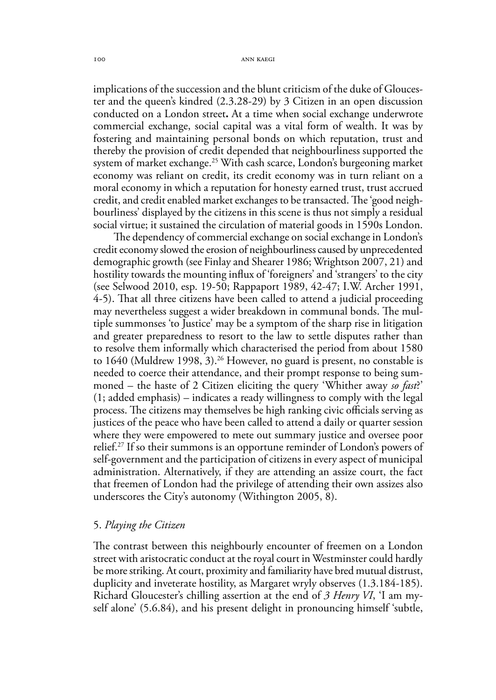implications of the succession and the blunt criticism of the duke of Gloucester and the queen's kindred (2.3.28-29) by 3 Citizen in an open discussion conducted on a London street**.** At a time when social exchange underwrote commercial exchange, social capital was a vital form of wealth. It was by fostering and maintaining personal bonds on which reputation, trust and thereby the provision of credit depended that neighbourliness supported the system of market exchange.<sup>25</sup> With cash scarce, London's burgeoning market economy was reliant on credit, its credit economy was in turn reliant on a moral economy in which a reputation for honesty earned trust, trust accrued credit, and credit enabled market exchanges to be transacted. The 'good neighbourliness' displayed by the citizens in this scene is thus not simply a residual social virtue; it sustained the circulation of material goods in 1590s London.

The dependency of commercial exchange on social exchange in London's credit economy slowed the erosion of neighbourliness caused by unprecedented demographic growth (see Finlay and Shearer 1986; Wrightson 2007, 21) and hostility towards the mounting influx of 'foreigners' and 'strangers' to the city (see Selwood 2010, esp. 19-50; Rappaport 1989, 42-47; I.W. Archer 1991, 4-5). That all three citizens have been called to attend a judicial proceeding may nevertheless suggest a wider breakdown in communal bonds. The multiple summonses 'to Justice' may be a symptom of the sharp rise in litigation and greater preparedness to resort to the law to settle disputes rather than to resolve them informally which characterised the period from about 1580 to 1640 (Muldrew 1998, 3).<sup>26</sup> However, no guard is present, no constable is needed to coerce their attendance, and their prompt response to being summoned – the haste of 2 Citizen eliciting the query 'Whither away *so fast*?' (1; added emphasis) – indicates a ready willingness to comply with the legal process. The citizens may themselves be high ranking civic officials serving as justices of the peace who have been called to attend a daily or quarter session where they were empowered to mete out summary justice and oversee poor relief.27 If so their summons is an opportune reminder of London's powers of self-government and the participation of citizens in every aspect of municipal administration. Alternatively, if they are attending an assize court, the fact that freemen of London had the privilege of attending their own assizes also underscores the City's autonomy (Withington 2005, 8).

#### 5. *Playing the Citizen*

The contrast between this neighbourly encounter of freemen on a London street with aristocratic conduct at the royal court in Westminster could hardly be more striking. At court, proximity and familiarity have bred mutual distrust, duplicity and inveterate hostility, as Margaret wryly observes (1.3.184-185). Richard Gloucester's chilling assertion at the end of *3 Henry VI*, 'I am myself alone' (5.6.84), and his present delight in pronouncing himself 'subtle,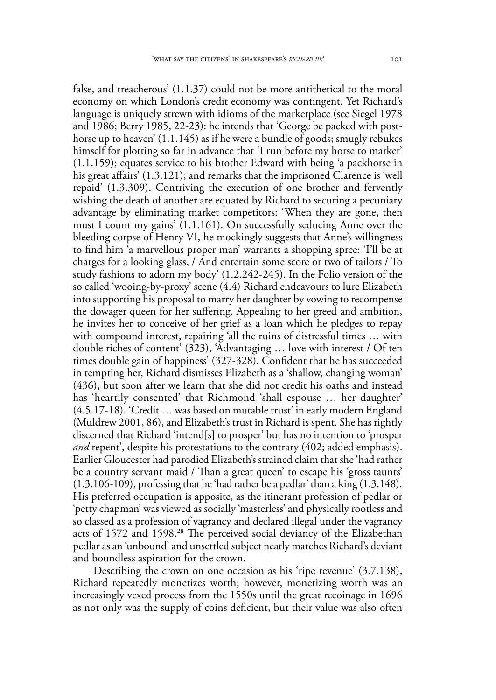false, and treacherous' (1.1.37) could not be more antithetical to the moral economy on which London's credit economy was contingent. Yet Richard's language is uniquely strewn with idioms of the marketplace (see Siegel 1978 and 1986; Berry 1985, 22-23): he intends that 'George be packed with posthorse up to heaven' (1.1.145) as if he were a bundle of goods; smugly rebukes himself for plotting so far in advance that 'I run before my horse to market' (1.1.159); equates service to his brother Edward with being 'a packhorse in his great affairs' (1.3.121); and remarks that the imprisoned Clarence is 'well repaid' (1.3.309). Contriving the execution of one brother and fervently wishing the death of another are equated by Richard to securing a pecuniary advantage by eliminating market competitors: 'When they are gone, then must I count my gains' (1.1.161). On successfully seducing Anne over the bleeding corpse of Henry VI, he mockingly suggests that Anne's willingness to find him 'a marvellous proper man' warrants a shopping spree: 'I'll be at charges for a looking glass, / And entertain some score or two of tailors / To study fashions to adorn my body' (1.2.242-245). In the Folio version of the so called 'wooing-by-proxy' scene (4.4) Richard endeavours to lure Elizabeth into supporting his proposal to marry her daughter by vowing to recompense the dowager queen for her suffering. Appealing to her greed and ambition, he invites her to conceive of her grief as a loan which he pledges to repay with compound interest, repairing 'all the ruins of distressful times … with double riches of content' (323), 'Advantaging … love with interest / Of ten times double gain of happiness' (327-328). Confident that he has succeeded in tempting her, Richard dismisses Elizabeth as a 'shallow, changing woman' (436), but soon after we learn that she did not credit his oaths and instead has 'heartily consented' that Richmond 'shall espouse … her daughter' (4.5.17-18). 'Credit … was based on mutable trust' in early modern England (Muldrew 2001, 86), and Elizabeth's trust in Richard is spent. She has rightly discerned that Richard 'intend[s] to prosper' but has no intention to 'prosper *and* repent', despite his protestations to the contrary (402; added emphasis). Earlier Gloucester had parodied Elizabeth's strained claim that she 'had rather be a country servant maid / Than a great queen' to escape his 'gross taunts' (1.3.106-109), professing that he 'had rather be a pedlar' than a king (1.3.148). His preferred occupation is apposite, as the itinerant profession of pedlar or 'petty chapman' was viewed as socially 'masterless' and physically rootless and so classed as a profession of vagrancy and declared illegal under the vagrancy acts of 1572 and 1598.28 The perceived social deviancy of the Elizabethan pedlar as an 'unbound' and unsettled subject neatly matches Richard's deviant and boundless aspiration for the crown.

Describing the crown on one occasion as his 'ripe revenue' (3.7.138), Richard repeatedly monetizes worth; however, monetizing worth was an increasingly vexed process from the 1550s until the great recoinage in 1696 as not only was the supply of coins deficient, but their value was also often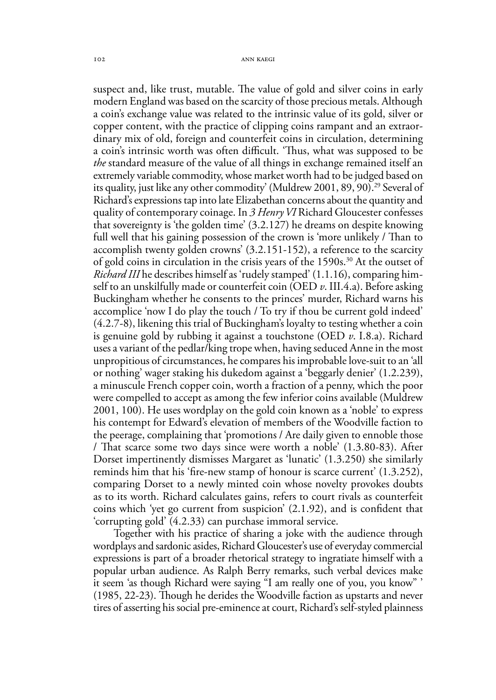suspect and, like trust, mutable. The value of gold and silver coins in early modern England was based on the scarcity of those precious metals. Although a coin's exchange value was related to the intrinsic value of its gold, silver or copper content, with the practice of clipping coins rampant and an extraordinary mix of old, foreign and counterfeit coins in circulation, determining a coin's intrinsic worth was often difficult. 'Thus, what was supposed to be *the* standard measure of the value of all things in exchange remained itself an extremely variable commodity, whose market worth had to be judged based on its quality, just like any other commodity' (Muldrew 2001, 89, 90).<sup>29</sup> Several of Richard's expressions tap into late Elizabethan concerns about the quantity and quality of contemporary coinage. In *3 Henry VI* Richard Gloucester confesses that sovereignty is 'the golden time' (3.2.127) he dreams on despite knowing full well that his gaining possession of the crown is 'more unlikely / Than to accomplish twenty golden crowns' (3.2.151-152), a reference to the scarcity of gold coins in circulation in the crisis years of the  $1590s$ .<sup>30</sup> At the outset of *Richard III* he describes himself as 'rudely stamped' (1.1.16), comparing himself to an unskilfully made or counterfeit coin (OED *v*. III.4.a). Before asking Buckingham whether he consents to the princes' murder, Richard warns his accomplice 'now I do play the touch / To try if thou be current gold indeed' (4.2.7-8), likening this trial of Buckingham's loyalty to testing whether a coin is genuine gold by rubbing it against a touchstone (OED *v*. I.8.a). Richard uses a variant of the pedlar/king trope when, having seduced Anne in the most unpropitious of circumstances, he compares his improbable love-suit to an 'all or nothing' wager staking his dukedom against a 'beggarly denier' (1.2.239), a minuscule French copper coin, worth a fraction of a penny, which the poor were compelled to accept as among the few inferior coins available (Muldrew 2001, 100). He uses wordplay on the gold coin known as a 'noble' to express his contempt for Edward's elevation of members of the Woodville faction to the peerage, complaining that 'promotions / Are daily given to ennoble those / That scarce some two days since were worth a noble' (1.3.80-83). After Dorset impertinently dismisses Margaret as 'lunatic' (1.3.250) she similarly reminds him that his 'fire-new stamp of honour is scarce current' (1.3.252), comparing Dorset to a newly minted coin whose novelty provokes doubts as to its worth. Richard calculates gains, refers to court rivals as counterfeit coins which 'yet go current from suspicion' (2.1.92), and is confident that 'corrupting gold' (4.2.33) can purchase immoral service.

Together with his practice of sharing a joke with the audience through wordplays and sardonic asides, Richard Gloucester's use of everyday commercial expressions is part of a broader rhetorical strategy to ingratiate himself with a popular urban audience. As Ralph Berry remarks, such verbal devices make it seem 'as though Richard were saying "I am really one of you, you know" ' (1985, 22-23). Though he derides the Woodville faction as upstarts and never tires of asserting his social pre-eminence at court, Richard's self-styled plainness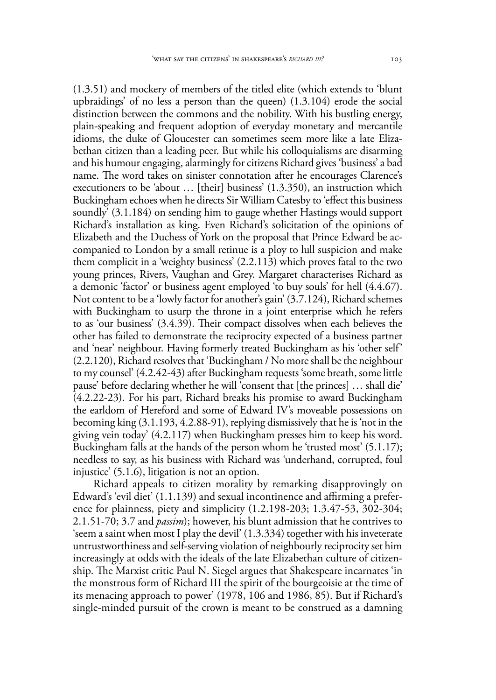(1.3.51) and mockery of members of the titled elite (which extends to 'blunt upbraidings' of no less a person than the queen) (1.3.104) erode the social distinction between the commons and the nobility. With his bustling energy, plain-speaking and frequent adoption of everyday monetary and mercantile idioms, the duke of Gloucester can sometimes seem more like a late Elizabethan citizen than a leading peer. But while his colloquialisms are disarming and his humour engaging, alarmingly for citizens Richard gives 'business' a bad name. The word takes on sinister connotation after he encourages Clarence's executioners to be 'about … [their] business' (1.3.350), an instruction which Buckingham echoes when he directs Sir William Catesby to 'effect this business soundly' (3.1.184) on sending him to gauge whether Hastings would support Richard's installation as king. Even Richard's solicitation of the opinions of Elizabeth and the Duchess of York on the proposal that Prince Edward be accompanied to London by a small retinue is a ploy to lull suspicion and make them complicit in a 'weighty business' (2.2.113) which proves fatal to the two young princes, Rivers, Vaughan and Grey. Margaret characterises Richard as a demonic 'factor' or business agent employed 'to buy souls' for hell (4.4.67). Not content to be a 'lowly factor for another's gain' (3.7.124), Richard schemes with Buckingham to usurp the throne in a joint enterprise which he refers to as 'our business' (3.4.39). Their compact dissolves when each believes the other has failed to demonstrate the reciprocity expected of a business partner and 'near' neighbour. Having formerly treated Buckingham as his 'other self' (2.2.120), Richard resolves that 'Buckingham / No more shall be the neighbour to my counsel' (4.2.42-43) after Buckingham requests 'some breath, some little pause' before declaring whether he will 'consent that [the princes] … shall die' (4.2.22-23). For his part, Richard breaks his promise to award Buckingham the earldom of Hereford and some of Edward IV's moveable possessions on becoming king (3.1.193, 4.2.88-91), replying dismissively that he is 'not in the giving vein today' (4.2.117) when Buckingham presses him to keep his word. Buckingham falls at the hands of the person whom he 'trusted most' (5.1.17); needless to say, as his business with Richard was 'underhand, corrupted, foul injustice' (5.1.6), litigation is not an option.

Richard appeals to citizen morality by remarking disapprovingly on Edward's 'evil diet' (1.1.139) and sexual incontinence and affirming a preference for plainness, piety and simplicity (1.2.198-203; 1.3.47-53, 302-304; 2.1.51-70; 3.7 and *passim*); however, his blunt admission that he contrives to 'seem a saint when most I play the devil' (1.3.334) together with his inveterate untrustworthiness and self-serving violation of neighbourly reciprocity set him increasingly at odds with the ideals of the late Elizabethan culture of citizenship. The Marxist critic Paul N. Siegel argues that Shakespeare incarnates 'in the monstrous form of Richard III the spirit of the bourgeoisie at the time of its menacing approach to power' (1978, 106 and 1986, 85). But if Richard's single-minded pursuit of the crown is meant to be construed as a damning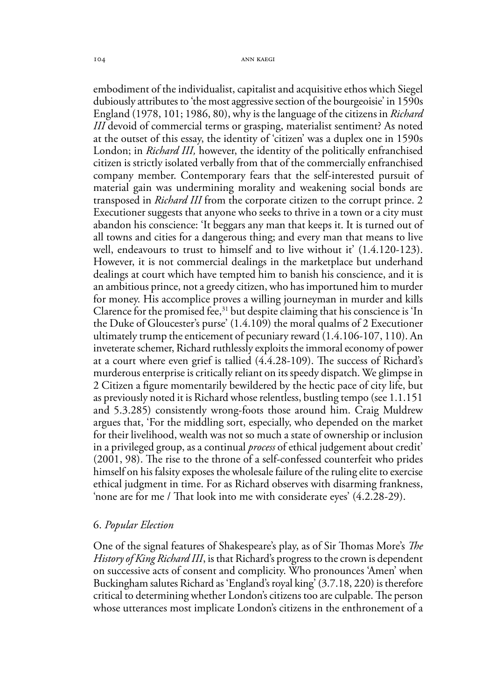embodiment of the individualist, capitalist and acquisitive ethos which Siegel dubiously attributes to 'the most aggressive section of the bourgeoisie' in 1590s England (1978, 101; 1986, 80), why is the language of the citizens in *Richard III* devoid of commercial terms or grasping, materialist sentiment? As noted at the outset of this essay, the identity of 'citizen' was a duplex one in 1590s London; in *Richard III,* however, the identity of the politically enfranchised citizen is strictly isolated verbally from that of the commercially enfranchised company member. Contemporary fears that the self-interested pursuit of material gain was undermining morality and weakening social bonds are transposed in *Richard III* from the corporate citizen to the corrupt prince. 2 Executioner suggests that anyone who seeks to thrive in a town or a city must abandon his conscience: 'It beggars any man that keeps it. It is turned out of all towns and cities for a dangerous thing; and every man that means to live well, endeavours to trust to himself and to live without it' (1.4.120-123). However, it is not commercial dealings in the marketplace but underhand dealings at court which have tempted him to banish his conscience, and it is an ambitious prince, not a greedy citizen, who has importuned him to murder for money. His accomplice proves a willing journeyman in murder and kills Clarence for the promised fee,<sup>31</sup> but despite claiming that his conscience is  $\text{In}$ the Duke of Gloucester's purse' (1.4.109) the moral qualms of 2 Executioner ultimately trump the enticement of pecuniary reward (1.4.106-107, 110). An inveterate schemer, Richard ruthlessly exploits the immoral economy of power at a court where even grief is tallied (4.4.28-109). The success of Richard's murderous enterprise is critically reliant on its speedy dispatch. We glimpse in 2 Citizen a figure momentarily bewildered by the hectic pace of city life, but as previously noted it is Richard whose relentless, bustling tempo (see 1.1.151 and 5.3.285) consistently wrong-foots those around him. Craig Muldrew argues that, 'For the middling sort, especially, who depended on the market for their livelihood, wealth was not so much a state of ownership or inclusion in a privileged group, as a continual *process* of ethical judgement about credit' (2001, 98). The rise to the throne of a self-confessed counterfeit who prides himself on his falsity exposes the wholesale failure of the ruling elite to exercise ethical judgment in time. For as Richard observes with disarming frankness, 'none are for me / That look into me with considerate eyes' (4.2.28-29).

#### 6. *Popular Election*

One of the signal features of Shakespeare's play, as of Sir Thomas More's *The History of King Richard III*, is that Richard's progress to the crown is dependent on successive acts of consent and complicity. Who pronounces 'Amen' when Buckingham salutes Richard as 'England's royal king' (3.7.18, 220) is therefore critical to determining whether London's citizens too are culpable. The person whose utterances most implicate London's citizens in the enthronement of a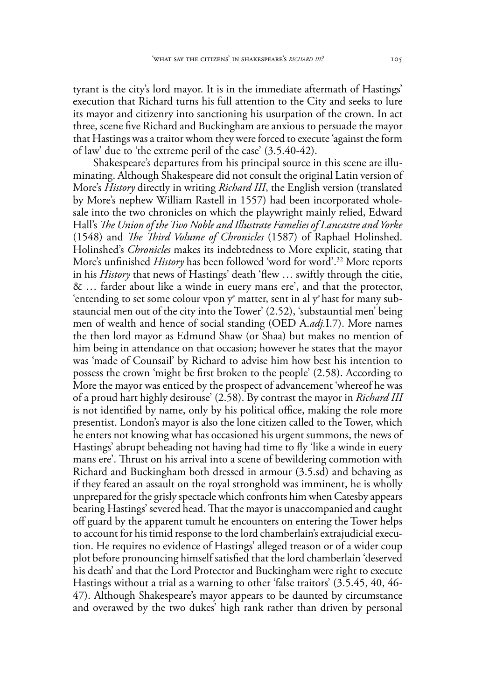tyrant is the city's lord mayor. It is in the immediate aftermath of Hastings' execution that Richard turns his full attention to the City and seeks to lure its mayor and citizenry into sanctioning his usurpation of the crown. In act three, scene five Richard and Buckingham are anxious to persuade the mayor that Hastings was a traitor whom they were forced to execute 'against the form of law' due to 'the extreme peril of the case' (3.5.40-42).

Shakespeare's departures from his principal source in this scene are illuminating. Although Shakespeare did not consult the original Latin version of More's *History* directly in writing *Richard III*, the English version (translated by More's nephew William Rastell in 1557) had been incorporated wholesale into the two chronicles on which the playwright mainly relied, Edward Hall's *The Union of the Two Noble and Illustrate Famelies of Lancastre and Yorke* (1548) and *The Third Volume of Chronicles* (1587) of Raphael Holinshed. Holinshed's *Chronicles* makes its indebtedness to More explicit, stating that More's unfinished *History* has been followed 'word for word'.32 More reports in his *History* that news of Hastings' death 'flew … swiftly through the citie, & … farder about like a winde in euery mans ere', and that the protector, 'entending to set some colour vpon  $y^e$  matter, sent in al  $y^e$  hast for many substauncial men out of the city into the Tower' (2.52), 'substauntial men' being men of wealth and hence of social standing (OED A.*adj.*I.7). More names the then lord mayor as Edmund Shaw (or Shaa) but makes no mention of him being in attendance on that occasion; however he states that the mayor was 'made of Counsail' by Richard to advise him how best his intention to possess the crown 'might be first broken to the people' (2.58). According to More the mayor was enticed by the prospect of advancement 'whereof he was of a proud hart highly desirouse' (2.58). By contrast the mayor in *Richard III* is not identified by name, only by his political office, making the role more presentist. London's mayor is also the lone citizen called to the Tower, which he enters not knowing what has occasioned his urgent summons, the news of Hastings' abrupt beheading not having had time to fly 'like a winde in euery mans ere'. Thrust on his arrival into a scene of bewildering commotion with Richard and Buckingham both dressed in armour (3.5.sd) and behaving as if they feared an assault on the royal stronghold was imminent, he is wholly unprepared for the grisly spectacle which confronts him when Catesby appears bearing Hastings' severed head. That the mayor is unaccompanied and caught off guard by the apparent tumult he encounters on entering the Tower helps to account for his timid response to the lord chamberlain's extrajudicial execution. He requires no evidence of Hastings' alleged treason or of a wider coup plot before pronouncing himself satisfied that the lord chamberlain 'deserved his death' and that the Lord Protector and Buckingham were right to execute Hastings without a trial as a warning to other 'false traitors' (3.5.45, 40, 46- 47). Although Shakespeare's mayor appears to be daunted by circumstance and overawed by the two dukes' high rank rather than driven by personal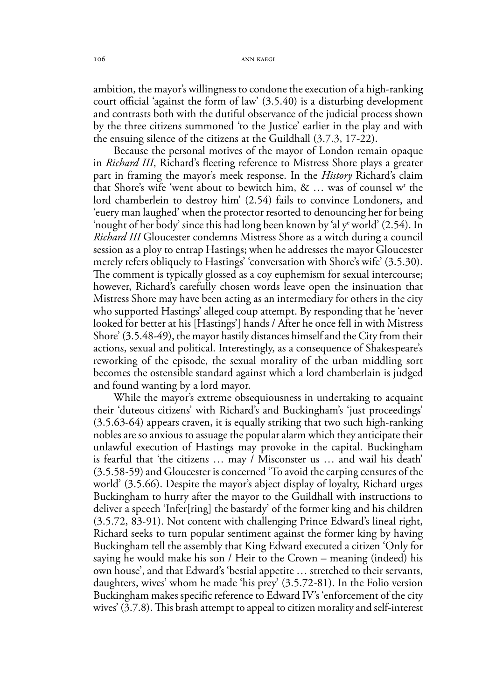ambition, the mayor's willingness to condone the execution of a high-ranking court official 'against the form of law' (3.5.40) is a disturbing development and contrasts both with the dutiful observance of the judicial process shown by the three citizens summoned 'to the Justice' earlier in the play and with the ensuing silence of the citizens at the Guildhall (3.7.3, 17-22).

Because the personal motives of the mayor of London remain opaque in *Richard III*, Richard's fleeting reference to Mistress Shore plays a greater part in framing the mayor's meek response. In the *History* Richard's claim that Shore's wife 'went about to bewitch him,  $\& \ldots$  was of counsel w<sup>t</sup> the lord chamberlein to destroy him' (2.54) fails to convince Londoners, and 'euery man laughed' when the protector resorted to denouncing her for being 'nought of her body' since this had long been known by 'al ye world' (2.54). In *Richard III* Gloucester condemns Mistress Shore as a witch during a council session as a ploy to entrap Hastings; when he addresses the mayor Gloucester merely refers obliquely to Hastings' 'conversation with Shore's wife' (3.5.30). The comment is typically glossed as a coy euphemism for sexual intercourse; however, Richard's carefully chosen words leave open the insinuation that Mistress Shore may have been acting as an intermediary for others in the city who supported Hastings' alleged coup attempt. By responding that he 'never looked for better at his [Hastings'] hands / After he once fell in with Mistress Shore' (3.5.48-49), the mayor hastily distances himself and the City from their actions, sexual and political. Interestingly, as a consequence of Shakespeare's reworking of the episode, the sexual morality of the urban middling sort becomes the ostensible standard against which a lord chamberlain is judged and found wanting by a lord mayor.

While the mayor's extreme obsequiousness in undertaking to acquaint their 'duteous citizens' with Richard's and Buckingham's 'just proceedings' (3.5.63-64) appears craven, it is equally striking that two such high-ranking nobles are so anxious to assuage the popular alarm which they anticipate their unlawful execution of Hastings may provoke in the capital. Buckingham is fearful that 'the citizens … may / Misconster us … and wail his death' (3.5.58-59) and Gloucester is concerned 'To avoid the carping censures of the world' (3.5.66). Despite the mayor's abject display of loyalty, Richard urges Buckingham to hurry after the mayor to the Guildhall with instructions to deliver a speech 'Infer[ring] the bastardy' of the former king and his children (3.5.72, 83-91). Not content with challenging Prince Edward's lineal right, Richard seeks to turn popular sentiment against the former king by having Buckingham tell the assembly that King Edward executed a citizen 'Only for saying he would make his son / Heir to the Crown – meaning (indeed) his own house', and that Edward's 'bestial appetite … stretched to their servants, daughters, wives' whom he made 'his prey' (3.5.72-81). In the Folio version Buckingham makes specific reference to Edward IV's 'enforcement of the city wives' (3.7.8). This brash attempt to appeal to citizen morality and self-interest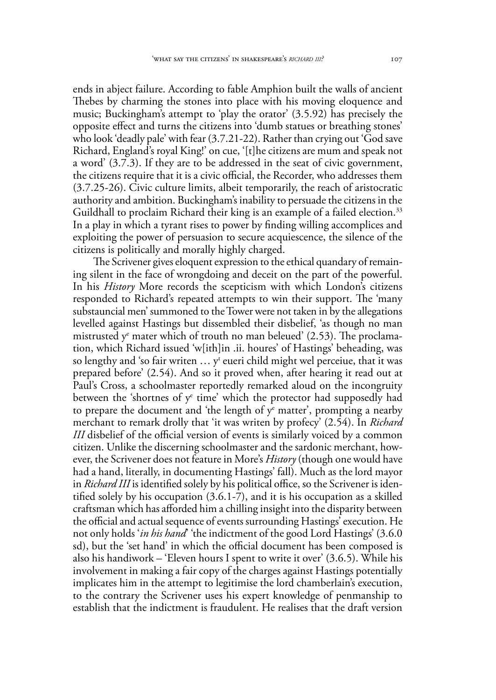ends in abject failure. According to fable Amphion built the walls of ancient Thebes by charming the stones into place with his moving eloquence and music; Buckingham's attempt to 'play the orator' (3.5.92) has precisely the opposite effect and turns the citizens into 'dumb statues or breathing stones' who look 'deadly pale' with fear (3.7.21-22). Rather than crying out 'God save Richard, England's royal King!' on cue, '[t]he citizens are mum and speak not a word' (3.7.3). If they are to be addressed in the seat of civic government, the citizens require that it is a civic official, the Recorder, who addresses them (3.7.25-26). Civic culture limits, albeit temporarily, the reach of aristocratic authority and ambition. Buckingham's inability to persuade the citizens in the Guildhall to proclaim Richard their king is an example of a failed election.<sup>33</sup> In a play in which a tyrant rises to power by finding willing accomplices and exploiting the power of persuasion to secure acquiescence, the silence of the citizens is politically and morally highly charged.

The Scrivener gives eloquent expression to the ethical quandary of remaining silent in the face of wrongdoing and deceit on the part of the powerful. In his *History* More records the scepticism with which London's citizens responded to Richard's repeated attempts to win their support. The 'many substauncial men' summoned to the Tower were not taken in by the allegations levelled against Hastings but dissembled their disbelief, 'as though no man mistrusted y<sup>e</sup> mater which of trouth no man beleued' (2.53). The proclamation, which Richard issued 'w[ith]in .ii. houres' of Hastings' beheading, was so lengthy and 'so fair writen  $\ldots$  y<sup>t</sup> eueri child might wel perceiue, that it was prepared before' (2.54). And so it proved when, after hearing it read out at Paul's Cross, a schoolmaster reportedly remarked aloud on the incongruity between the 'shortnes of  $y^e$  time' which the protector had supposedly had to prepare the document and 'the length of  $y^e$  matter', prompting a nearby merchant to remark drolly that 'it was writen by profecy' (2.54). In *Richard III* disbelief of the official version of events is similarly voiced by a common citizen. Unlike the discerning schoolmaster and the sardonic merchant, however, the Scrivener does not feature in More's *History* (though one would have had a hand, literally, in documenting Hastings' fall). Much as the lord mayor in *Richard III* is identified solely by his political office, so the Scrivener is identified solely by his occupation (3.6.1-7), and it is his occupation as a skilled craftsman which has afforded him a chilling insight into the disparity between the official and actual sequence of events surrounding Hastings' execution. He not only holds '*in his hand*' 'the indictment of the good Lord Hastings' (3.6.0 sd), but the 'set hand' in which the official document has been composed is also his handiwork – 'Eleven hours I spent to write it over' (3.6.5). While his involvement in making a fair copy of the charges against Hastings potentially implicates him in the attempt to legitimise the lord chamberlain's execution, to the contrary the Scrivener uses his expert knowledge of penmanship to establish that the indictment is fraudulent. He realises that the draft version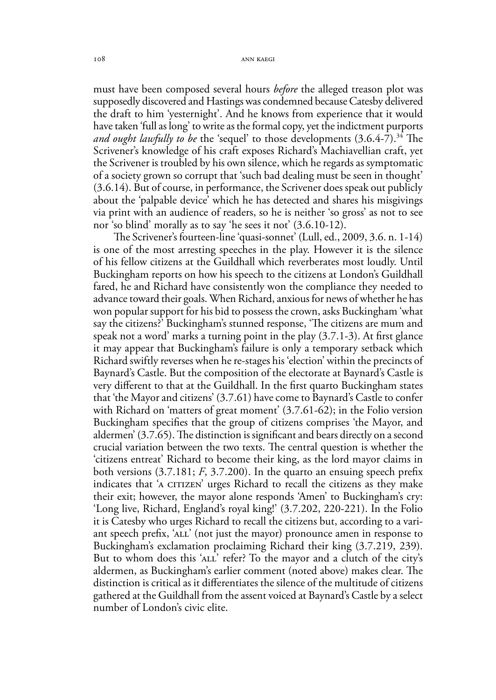must have been composed several hours *before* the alleged treason plot was supposedly discovered and Hastings was condemned because Catesby delivered the draft to him 'yesternight'. And he knows from experience that it would have taken 'full as long' to write as the formal copy, yet the indictment purports *and ought lawfully to be* the 'sequel' to those developments (3.6.4-7).<sup>34</sup> The Scrivener's knowledge of his craft exposes Richard's Machiavellian craft, yet the Scrivener is troubled by his own silence, which he regards as symptomatic of a society grown so corrupt that 'such bad dealing must be seen in thought' (3.6.14). But of course, in performance, the Scrivener does speak out publicly about the 'palpable device' which he has detected and shares his misgivings via print with an audience of readers, so he is neither 'so gross' as not to see nor 'so blind' morally as to say 'he sees it not' (3.6.10-12).

The Scrivener's fourteen-line 'quasi-sonnet' (Lull, ed., 2009, 3.6. n. 1-14) is one of the most arresting speeches in the play. However it is the silence of his fellow citizens at the Guildhall which reverberates most loudly. Until Buckingham reports on how his speech to the citizens at London's Guildhall fared, he and Richard have consistently won the compliance they needed to advance toward their goals. When Richard, anxious for news of whether he has won popular support for his bid to possess the crown, asks Buckingham 'what say the citizens?' Buckingham's stunned response, 'The citizens are mum and speak not a word' marks a turning point in the play (3.7.1-3). At first glance it may appear that Buckingham's failure is only a temporary setback which Richard swiftly reverses when he re-stages his 'election' within the precincts of Baynard's Castle. But the composition of the electorate at Baynard's Castle is very different to that at the Guildhall. In the first quarto Buckingham states that 'the Mayor and citizens' (3.7.61) have come to Baynard's Castle to confer with Richard on 'matters of great moment' (3.7.61-62); in the Folio version Buckingham specifies that the group of citizens comprises 'the Mayor, and aldermen' (3.7.65). The distinction is significant and bears directly on a second crucial variation between the two texts. The central question is whether the 'citizens entreat' Richard to become their king, as the lord mayor claims in both versions (3.7.181; *F*, 3.7.200). In the quarto an ensuing speech prefix indicates that 'A CITIZEN' urges Richard to recall the citizens as they make their exit; however, the mayor alone responds 'Amen' to Buckingham's cry: 'Long live, Richard, England's royal king!' (3.7.202, 220-221). In the Folio it is Catesby who urges Richard to recall the citizens but, according to a variant speech prefix, 'all' (not just the mayor) pronounce amen in response to Buckingham's exclamation proclaiming Richard their king (3.7.219, 239). But to whom does this 'ALL' refer? To the mayor and a clutch of the city's aldermen, as Buckingham's earlier comment (noted above) makes clear. The distinction is critical as it differentiates the silence of the multitude of citizens gathered at the Guildhall from the assent voiced at Baynard's Castle by a select number of London's civic elite.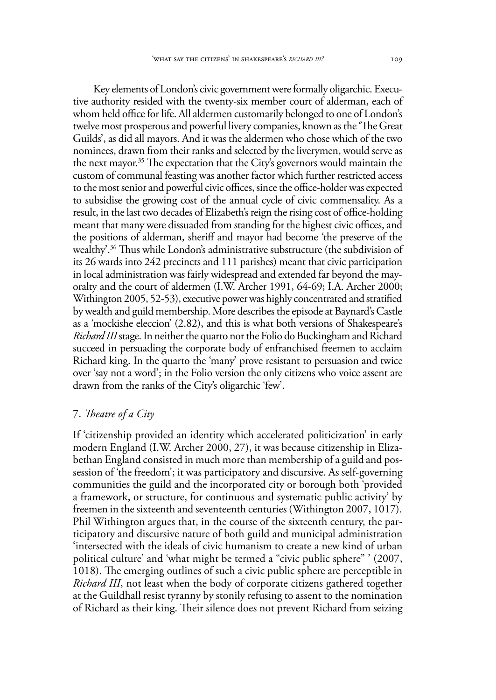Key elements of London's civic government were formally oligarchic. Executive authority resided with the twenty-six member court of alderman, each of whom held office for life. All aldermen customarily belonged to one of London's twelve most prosperous and powerful livery companies, known as the 'The Great Guilds', as did all mayors. And it was the aldermen who chose which of the two nominees, drawn from their ranks and selected by the liverymen, would serve as the next mayor.<sup>35</sup> The expectation that the City's governors would maintain the custom of communal feasting was another factor which further restricted access to the most senior and powerful civic offices, since the office-holder was expected to subsidise the growing cost of the annual cycle of civic commensality. As a result, in the last two decades of Elizabeth's reign the rising cost of office-holding meant that many were dissuaded from standing for the highest civic offices, and the positions of alderman, sheriff and mayor had become 'the preserve of the wealthy'.36 Thus while London's administrative substructure (the subdivision of its 26 wards into 242 precincts and 111 parishes) meant that civic participation in local administration was fairly widespread and extended far beyond the mayoralty and the court of aldermen (I.W. Archer 1991, 64-69; I.A. Archer 2000; Withington 2005, 52-53), executive power was highly concentrated and stratified by wealth and guild membership. More describes the episode at Baynard's Castle as a 'mockishe eleccion' (2.82), and this is what both versions of Shakespeare's *Richard III* stage. In neither the quarto nor the Folio do Buckingham and Richard succeed in persuading the corporate body of enfranchised freemen to acclaim Richard king. In the quarto the 'many' prove resistant to persuasion and twice over 'say not a word'; in the Folio version the only citizens who voice assent are drawn from the ranks of the City's oligarchic 'few'.

#### 7. *Theatre of a City*

If 'citizenship provided an identity which accelerated politicization' in early modern England (I.W. Archer 2000, 27), it was because citizenship in Elizabethan England consisted in much more than membership of a guild and possession of 'the freedom'; it was participatory and discursive. As self-governing communities the guild and the incorporated city or borough both 'provided a framework, or structure, for continuous and systematic public activity' by freemen in the sixteenth and seventeenth centuries (Withington 2007, 1017). Phil Withington argues that, in the course of the sixteenth century, the participatory and discursive nature of both guild and municipal administration 'intersected with the ideals of civic humanism to create a new kind of urban political culture' and 'what might be termed a "civic public sphere" ' (2007, 1018). The emerging outlines of such a civic public sphere are perceptible in *Richard III*, not least when the body of corporate citizens gathered together at the Guildhall resist tyranny by stonily refusing to assent to the nomination of Richard as their king. Their silence does not prevent Richard from seizing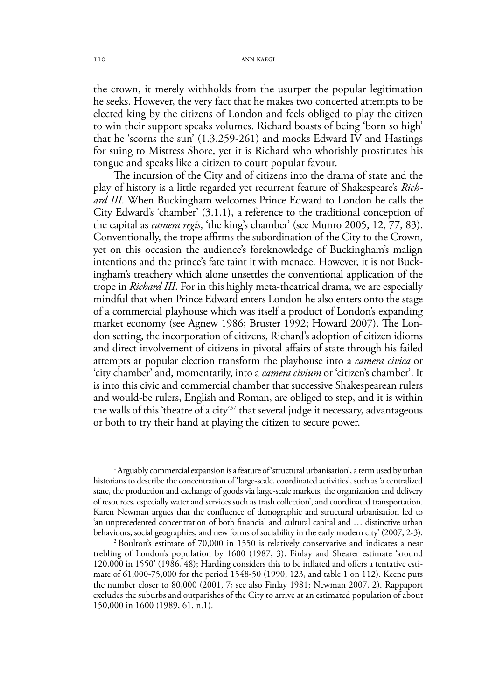the crown, it merely withholds from the usurper the popular legitimation he seeks. However, the very fact that he makes two concerted attempts to be elected king by the citizens of London and feels obliged to play the citizen to win their support speaks volumes. Richard boasts of being 'born so high' that he 'scorns the sun' (1.3.259-261) and mocks Edward IV and Hastings for suing to Mistress Shore, yet it is Richard who whorishly prostitutes his tongue and speaks like a citizen to court popular favour.

The incursion of the City and of citizens into the drama of state and the play of history is a little regarded yet recurrent feature of Shakespeare's *Richard III*. When Buckingham welcomes Prince Edward to London he calls the City Edward's 'chamber' (3.1.1), a reference to the traditional conception of the capital as *camera regis*, 'the king's chamber' (see Munro 2005, 12, 77, 83). Conventionally, the trope affirms the subordination of the City to the Crown, yet on this occasion the audience's foreknowledge of Buckingham's malign intentions and the prince's fate taint it with menace. However, it is not Buckingham's treachery which alone unsettles the conventional application of the trope in *Richard III*. For in this highly meta-theatrical drama, we are especially mindful that when Prince Edward enters London he also enters onto the stage of a commercial playhouse which was itself a product of London's expanding market economy (see Agnew 1986; Bruster 1992; Howard 2007). The London setting, the incorporation of citizens, Richard's adoption of citizen idioms and direct involvement of citizens in pivotal affairs of state through his failed attempts at popular election transform the playhouse into a *camera civica* or 'city chamber' and, momentarily, into a *camera civium* or 'citizen's chamber'. It is into this civic and commercial chamber that successive Shakespearean rulers and would-be rulers, English and Roman, are obliged to step, and it is within the walls of this 'theatre of a city'37 that several judge it necessary, advantageous or both to try their hand at playing the citizen to secure power.

1 Arguably commercial expansion is a feature of 'structural urbanisation', a term used by urban historians to describe the concentration of 'large-scale, coordinated activities', such as 'a centralized state, the production and exchange of goods via large-scale markets, the organization and delivery of resources, especially water and services such as trash collection', and coordinated transportation. Karen Newman argues that the confluence of demographic and structural urbanisation led to 'an unprecedented concentration of both financial and cultural capital and … distinctive urban behaviours, social geographies, and new forms of sociability in the early modern city' (2007, 2-3).

2 Boulton's estimate of 70,000 in 1550 is relatively conservative and indicates a near trebling of London's population by 1600 (1987, 3). Finlay and Shearer estimate 'around 120,000 in 1550' (1986, 48); Harding considers this to be inflated and offers a tentative estimate of 61,000-75,000 for the period 1548-50 (1990, 123, and table 1 on 112). Keene puts the number closer to 80,000 (2001, 7; see also Finlay 1981; Newman 2007, 2). Rappaport excludes the suburbs and outparishes of the City to arrive at an estimated population of about 150,000 in 1600 (1989, 61, n.1).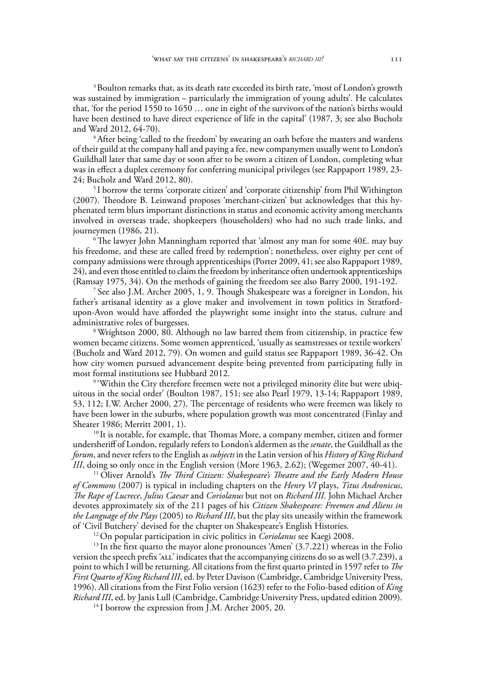$3$  Boulton remarks that, as its death rate exceeded its birth rate, 'most of London's growth was sustained by immigration – particularly the immigration of young adults'. He calculates that, 'for the period 1550 to 1650 … one in eight of the survivors of the nation's births would have been destined to have direct experience of life in the capital' (1987, 3; see also Bucholz and Ward 2012, 64-70).

<sup>4</sup> After being 'called to the freedom' by swearing an oath before the masters and wardens of their guild at the company hall and paying a fee, new companymen usually went to London's Guildhall later that same day or soon after to be sworn a citizen of London, completing what was in effect a duplex ceremony for conferring municipal privileges (see Rappaport 1989, 23- 24; Bucholz and Ward 2012, 80).

5 I borrow the terms 'corporate citizen' and 'corporate citizenship' from Phil Withington (2007). Theodore B. Leinwand proposes 'merchant-citizen' but acknowledges that this hyphenated term blurs important distinctions in status and economic activity among merchants involved in overseas trade, shopkeepers (householders) who had no such trade links, and journeymen (1986, 21).

 $6$ The lawyer John Manningham reported that 'almost any man for some  $40<sup>£</sup>$ . may buy his freedome, and these are called freed by redemption'; nonetheless, over eighty per cent of company admissions were through apprenticeships (Porter 2009, 41; see also Rappaport 1989, 24), and even those entitled to claim the freedom by inheritance often undertook apprenticeships (Ramsay 1975, 34). On the methods of gaining the freedom see also Barry 2000, 191-192. 7 See also J.M. Archer 2005, 1, 9. Though Shakespeare was a foreigner in London, his

father's artisanal identity as a glove maker and involvement in town politics in Stratfordupon-Avon would have afforded the playwright some insight into the status, culture and administrative roles of burgesses.

8 Wrightson 2000, 80. Although no law barred them from citizenship, in practice few women became citizens. Some women apprenticed, 'usually as seamstresses or textile workers' (Bucholz and Ward 2012, 79). On women and guild status see Rappaport 1989, 36-42. On how city women pursued advancement despite being prevented from participating fully in most formal institutions see Hubbard 2012.

<sup>9</sup> 'Within the City therefore freemen were not a privileged minority élite but were ubiquitous in the social order' (Boulton 1987, 151; see also Pearl 1979, 13-14; Rappaport 1989, 53, 112; I.W. Archer 2000, 27). The percentage of residents who were freemen was likely to have been lower in the suburbs, where population growth was most concentrated (Finlay and Shearer 1986; Merritt 2001, 1).

<sup>10</sup> It is notable, for example, that Thomas More, a company member, citizen and former undersheriff of London, regularly refers to London's aldermen as the *senate*, the Guildhall as the *forum*, and never refers to the English as *subjects* in the Latin version of his *History of King Richard III*, doing so only once in the English version (More 1963, 2.62); (Wegemer 2007, 40-41).

11 Oliver Arnold's *The Third Citizen: Shakespeare's Theatre and the Early Modern House of Commons* (2007) is typical in including chapters on the *Henry VI* plays, *Titus Andronicus*, *The Rape of Lucrece*, *Julius Caesar* and *Coriolanus* but not on *Richard III*. John Michael Archer devotes approximately six of the 211 pages of his *Citizen Shakespeare: Freemen and Aliens in the Language of the Plays* (2005) to *Richard III*, but the play sits uneasily within the framework

<sup>12</sup> On popular participation in civic politics in *Coriolanus* see Kaegi 2008.

<sup>13</sup> In the first quarto the mayor alone pronounces 'Amen' (3.7.221) whereas in the Folio version the speech prefix 'all' indicates that the accompanying citizens do so as well (3.7.239), a point to which I will be returning. All citations from the first quarto printed in 1597 refer to *The First Quarto of King Richard III*, ed. by Peter Davison (Cambridge, Cambridge University Press, 1996). All citations from the First Folio version (1623) refer to the Folio-based edition of *King Richard III*, ed. by Janis Lull (Cambridge, Cambridge University Press, updated edition 2009).

<sup>14</sup> I borrow the expression from J.M. Archer 2005, 20.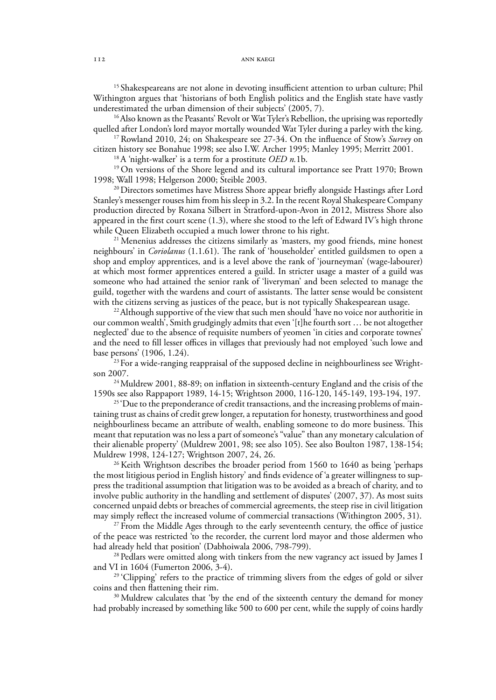<sup>15</sup> Shakespeareans are not alone in devoting insufficient attention to urban culture; Phil Withington argues that 'historians of both English politics and the English state have vastly underestimated the urban dimension of their subjects' (2005, 7).

<sup>16</sup> Also known as the Peasants' Revolt or Wat Tyler's Rebellion, the uprising was reportedly quelled after London's lord mayor mortally wounded Wat Tyler during a parley with the king.

17 Rowland 2010, 24; on Shakespeare see 27-34. On the influence of Stow's *Survey* on citizen history see Bonahue 1998; see also I.W. Archer 1995; Manley 1995; Merritt 2001.

18 A 'night-walker' is a term for a prostitute *OED n.*1b.

<sup>19</sup> On versions of the Shore legend and its cultural importance see Pratt 1970; Brown 1998; Wall 1998; Helgerson 2000; Steible 2003.

<sup>20</sup> Directors sometimes have Mistress Shore appear briefly alongside Hastings after Lord Stanley's messenger rouses him from his sleep in 3.2. In the recent Royal Shakespeare Company production directed by Roxana Silbert in Stratford-upon-Avon in 2012, Mistress Shore also appeared in the first court scene (1.3), where she stood to the left of Edward IV's high throne while Queen Elizabeth occupied a much lower throne to his right.<br><sup>21</sup> Menenius addresses the citizens similarly as 'masters, my good friends, mine honest

neighbours' in *Coriolanus* (1.1.61). The rank of 'householder' entitled guildsmen to open a shop and employ apprentices, and is a level above the rank of 'journeyman' (wage-labourer) at which most former apprentices entered a guild. In stricter usage a master of a guild was someone who had attained the senior rank of 'liveryman' and been selected to manage the guild, together with the wardens and court of assistants. The latter sense would be consistent with the citizens serving as justices of the peace, but is not typically Shakespearean usage.

<sup>22</sup> Although supportive of the view that such men should 'have no voice nor authoritie in our common wealth', Smith grudgingly admits that even '[t]he fourth sort … be not altogether neglected' due to the absence of requisite numbers of yeomen 'in cities and corporate townes' and the need to fill lesser offices in villages that previously had not employed 'such lowe and base persons' (1906, 1.24).

<sup>23</sup> For a wide-ranging reappraisal of the supposed decline in neighbourliness see Wrightson 2007.

<sup>24</sup> Muldrew 2001, 88-89; on inflation in sixteenth-century England and the crisis of the 1590s see also Rappaport 1989, 14-15; Wrightson 2000, 116-120, 145-149, 193-194, 197.

<sup>25</sup> 'Due to the preponderance of credit transactions, and the increasing problems of maintaining trust as chains of credit grew longer, a reputation for honesty, trustworthiness and good neighbourliness became an attribute of wealth, enabling someone to do more business. This meant that reputation was no less a part of someone's "value" than any monetary calculation of their alienable property' (Muldrew 2001, 98; see also 105). See also Boulton 1987, 138-154; Muldrew 1998, 124-127; Wrightson 2007, 24, 26.

<sup>26</sup> Keith Wrightson describes the broader period from 1560 to 1640 as being 'perhaps the most litigious period in English history' and finds evidence of 'a greater willingness to suppress the traditional assumption that litigation was to be avoided as a breach of charity, and to involve public authority in the handling and settlement of disputes' (2007, 37). As most suits concerned unpaid debts or breaches of commercial agreements, the steep rise in civil litigation may simply reflect the increased volume of commercial transactions (Withington 2005, 31).

<sup>27</sup> From the Middle Ages through to the early seventeenth century, the office of justice of the peace was restricted 'to the recorder, the current lord mayor and those aldermen who had already held that position' (Dabhoiwala 2006, 798-799).<br><sup>28</sup> Pedlars were omitted along with tinkers from the new vagrancy act issued by James I

and VI in 1604 (Fumerton 2006, 3-4).

<sup>29</sup> 'Clipping' refers to the practice of trimming slivers from the edges of gold or silver coins and then flattening their rim.

<sup>30</sup> Muldrew calculates that 'by the end of the sixteenth century the demand for money had probably increased by something like 500 to 600 per cent, while the supply of coins hardly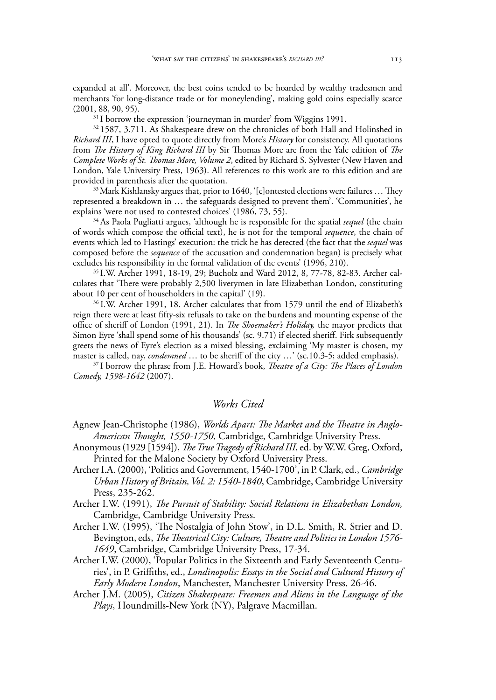expanded at all'. Moreover, the best coins tended to be hoarded by wealthy tradesmen and merchants 'for long-distance trade or for moneylending', making gold coins especially scarce (2001, 88, 90, 95).

 $31$  I borrow the expression 'journeyman in murder' from Wiggins 1991.

<sup>32</sup> 1587, 3.711. As Shakespeare drew on the chronicles of both Hall and Holinshed in *Richard III*, I have opted to quote directly from More's *History* for consistency. All quotations from *The History of King Richard III* by Sir Thomas More are from the Yale edition of *The Complete Works of St. Thomas More, Volume 2*, edited by Richard S. Sylvester (New Haven and London, Yale University Press, 1963). All references to this work are to this edition and are provided in parenthesis after the quotation.

33 Mark Kishlansky argues that, prior to 1640, '[c]ontested elections were failures … They represented a breakdown in … the safeguards designed to prevent them'. 'Communities', he explains 'were not used to contested choices' (1986, 73, 55).

34 As Paola Pugliatti argues, 'although he is responsible for the spatial *sequel* (the chain of words which compose the official text), he is not for the temporal *sequence*, the chain of events which led to Hastings' execution: the trick he has detected (the fact that the *sequel* was composed before the *sequence* of the accusation and condemnation began) is precisely what excludes his responsibility in the formal validation of the events' (1996, 210).

35 I.W. Archer 1991, 18-19, 29; Bucholz and Ward 2012, 8, 77-78, 82-83. Archer calculates that 'There were probably 2,500 liverymen in late Elizabethan London, constituting about 10 per cent of householders in the capital' (19).

36 I.W. Archer 1991, 18. Archer calculates that from 1579 until the end of Elizabeth's reign there were at least fifty-six refusals to take on the burdens and mounting expense of the office of sheriff of London (1991, 21). In *The Shoemaker's Holiday,* the mayor predicts that Simon Eyre 'shall spend some of his thousands' (sc. 9.71) if elected sheriff. Firk subsequently greets the news of Eyre's election as a mixed blessing, exclaiming 'My master is chosen, my master is called, nay, *condemned* … to be sheriff of the city …' (sc.10.3-5; added emphasis).

37 I borrow the phrase from J.E. Howard's book, *Theatre of a City: The Places of London Comedy, 1598-1642* (2007).

#### *Works Cited*

Agnew Jean-Christophe (1986), *Worlds Apart: The Market and the Theatre in Anglo-American Thought, 1550-1750*, Cambridge, Cambridge University Press.

- Anonymous (1929 [1594]), *The True Tragedy of Richard III*, ed. by W.W. Greg, Oxford, Printed for the Malone Society by Oxford University Press.
- Archer I.A. (2000), 'Politics and Government, 1540-1700', in P. Clark, ed., *Cambridge Urban History of Britain, Vol. 2: 1540-1840*, Cambridge, Cambridge University Press, 235-262.

Archer I.W. (1991), *The Pursuit of Stability: Social Relations in Elizabethan London,* Cambridge, Cambridge University Press.

Archer I.W. (1995), 'The Nostalgia of John Stow', in D.L. Smith, R. Strier and D. Bevington, eds, *The Theatrical City: Culture, Theatre and Politics in London 1576- 1649*, Cambridge, Cambridge University Press, 17-34.

Archer I.W. (2000), 'Popular Politics in the Sixteenth and Early Seventeenth Centuries', in P. Griffiths, ed., *Londinopolis: Essays in the Social and Cultural History of Early Modern London*, Manchester, Manchester University Press, 26-46.

Archer J.M. (2005), *Citizen Shakespeare: Freemen and Aliens in the Language of the Plays*, Houndmills-New York (NY), Palgrave Macmillan.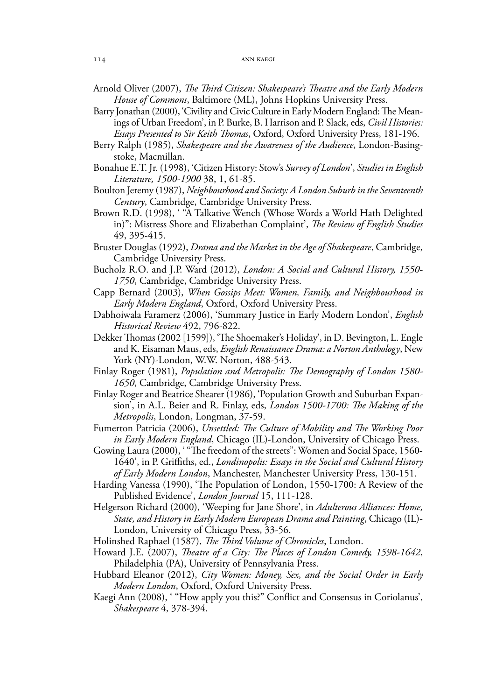Arnold Oliver (2007), *The Third Citizen: Shakespeare's Theatre and the Early Modern House of Commons*, Baltimore (ML), Johns Hopkins University Press.

- Barry Jonathan (2000), 'Civility and Civic Culture in Early Modern England: The Meanings of Urban Freedom', in P. Burke, B. Harrison and P. Slack, eds, *Civil Histories: Essays Presented to Sir Keith Thomas*, Oxford, Oxford University Press, 181-196.
- Berry Ralph (1985), *Shakespeare and the Awareness of the Audience*, London-Basingstoke, Macmillan.
- Bonahue E.T. Jr. (1998), 'Citizen History: Stow's *Survey of London*', *Studies in English Literature, 1500-1900* 38, 1, 61-85.
- Boulton Jeremy (1987), *Neighbourhood and Society: A London Suburb in the Seventeenth Century*, Cambridge, Cambridge University Press.
- Brown R.D. (1998), ' "A Talkative Wench (Whose Words a World Hath Delighted in)": Mistress Shore and Elizabethan Complaint', *The Review of English Studies* 49, 395-415.
- Bruster Douglas (1992), *Drama and the Market in the Age of Shakespeare*, Cambridge, Cambridge University Press.
- Bucholz R.O. and J.P. Ward (2012), *London: A Social and Cultural History, 1550- 1750*, Cambridge, Cambridge University Press.
- Capp Bernard (2003), *When Gossips Meet: Women, Family, and Neighbourhood in Early Modern England*, Oxford, Oxford University Press.
- Dabhoiwala Faramerz (2006), 'Summary Justice in Early Modern London', *English Historical Review* 492, 796-822.
- Dekker Thomas (2002 [1599]), 'The Shoemaker's Holiday', in D. Bevington, L. Engle and K. Eisaman Maus, eds, *English Renaissance Drama: a Norton Anthology*, New York (NY)-London, W.W. Norton, 488-543.
- Finlay Roger (1981), *Population and Metropolis: The Demography of London 1580- 1650*, Cambridge, Cambridge University Press.
- Finlay Roger and Beatrice Shearer (1986), 'Population Growth and Suburban Expansion', in A.L. Beier and R. Finlay, eds, *London 1500-1700: The Making of the Metropolis*, London, Longman, 37-59.
- Fumerton Patricia (2006), *Unsettled: The Culture of Mobility and The Working Poor in Early Modern England*, Chicago (IL)-London, University of Chicago Press.
- Gowing Laura (2000), ' "The freedom of the streets": Women and Social Space, 1560- 1640', in P. Griffiths, ed., *Londinopolis: Essays in the Social and Cultural History of Early Modern London*, Manchester, Manchester University Press, 130-151.
- Harding Vanessa (1990), 'The Population of London, 1550-1700: A Review of the Published Evidence', *London Journal* 15, 111-128.
- Helgerson Richard (2000), 'Weeping for Jane Shore', in *Adulterous Alliances: Home, State, and History in Early Modern European Drama and Painting*, Chicago (IL)- London, University of Chicago Press, 33-56.
- Holinshed Raphael (1587), *The Third Volume of Chronicles*, London.
- Howard J.E. (2007), *Theatre of a City: The Places of London Comedy, 1598-1642*, Philadelphia (PA), University of Pennsylvania Press.
- Hubbard Eleanor (2012), *City Women: Money, Sex, and the Social Order in Early Modern London*, Oxford, Oxford University Press.
- Kaegi Ann (2008), ' ''How apply you this?" Conflict and Consensus in Coriolanus', *Shakespeare* 4, 378-394.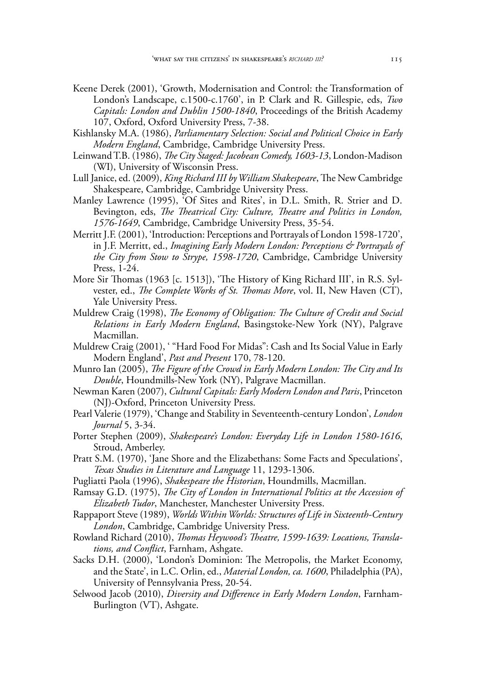- Keene Derek (2001), 'Growth, Modernisation and Control: the Transformation of London's Landscape, c.1500-c.1760', in P. Clark and R. Gillespie, eds, *Two Capitals: London and Dublin 1500-1840*, Proceedings of the British Academy 107, Oxford, Oxford University Press, 7-38.
- Kishlansky M.A. (1986), *Parliamentary Selection: Social and Political Choice in Early Modern England*, Cambridge, Cambridge University Press.
- Leinwand T.B. (1986), *The City Staged: Jacobean Comedy, 1603-13*, London-Madison (WI), University of Wisconsin Press.
- Lull Janice, ed. (2009), *King Richard III by William Shakespeare*, The New Cambridge Shakespeare, Cambridge, Cambridge University Press.
- Manley Lawrence (1995), 'Of Sites and Rites', in D.L. Smith, R. Strier and D. Bevington, eds, *The Theatrical City: Culture, Theatre and Politics in London, 1576-1649*, Cambridge, Cambridge University Press, 35-54.
- Merritt J.F. (2001), 'Introduction: Perceptions and Portrayals of London 1598-1720', in J.F. Merritt, ed., *Imagining Early Modern London: Perceptions & Portrayals of the City from Stow to Strype, 1598-1720*, Cambridge, Cambridge University Press, 1-24.
- More Sir Thomas (1963 [c. 1513]), 'The History of King Richard III', in R.S. Sylvester, ed., *The Complete Works of St. Thomas More*, vol. II, New Haven (CT), Yale University Press.
- Muldrew Craig (1998), *The Economy of Obligation: The Culture of Credit and Social Relations in Early Modern England*, Basingstoke-New York (NY), Palgrave Macmillan.
- Muldrew Craig (2001), ' "Hard Food For Midas": Cash and Its Social Value in Early Modern England', *Past and Present* 170, 78-120.
- Munro Ian (2005), *The Figure of the Crowd in Early Modern London: The City and Its Double*, Houndmills-New York (NY), Palgrave Macmillan.
- Newman Karen (2007), *Cultural Capitals: Early Modern London and Paris*, Princeton (NJ)-Oxford, Princeton University Press.
- Pearl Valerie (1979), 'Change and Stability in Seventeenth-century London', *London Journal* 5, 3-34.
- Porter Stephen (2009), *Shakespeare's London: Everyday Life in London 1580-1616*, Stroud, Amberley.
- Pratt S.M. (1970), 'Jane Shore and the Elizabethans: Some Facts and Speculations', *Texas Studies in Literature and Language* 11, 1293-1306.
- Pugliatti Paola (1996), *Shakespeare the Historian*, Houndmills, Macmillan.
- Ramsay G.D. (1975), *The City of London in International Politics at the Accession of Elizabeth Tudor*, Manchester, Manchester University Press.
- Rappaport Steve (1989), *Worlds Within Worlds: Structures of Life in Sixteenth-Century London*, Cambridge, Cambridge University Press.
- Rowland Richard (2010), *Thomas Heywood's Theatre, 1599-1639: Locations, Translations, and Conflict*, Farnham, Ashgate.
- Sacks D.H. (2000), 'London's Dominion: The Metropolis, the Market Economy, and the State', in L.C. Orlin, ed., *Material London, ca. 1600*, Philadelphia (PA), University of Pennsylvania Press, 20-54.
- Selwood Jacob (2010), *Diversity and Difference in Early Modern London*, Farnham-Burlington (VT), Ashgate.